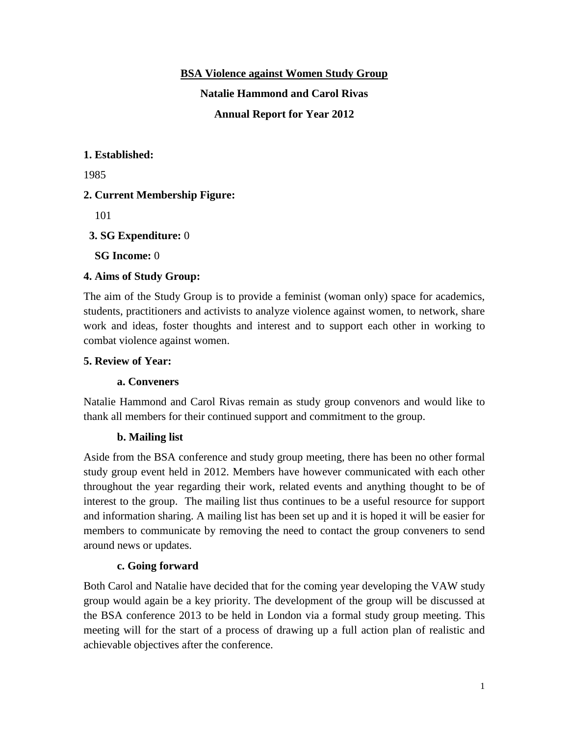## **BSA Violence against Women Study Group**

**Natalie Hammond and Carol Rivas**

**Annual Report for Year 2012**

## **1. Established:**

1985

# **2. Current Membership Figure:**

101

## **3. SG Expenditure:** 0

**SG Income:** 0

## **4. Aims of Study Group:**

The aim of the Study Group is to provide a feminist (woman only) space for academics, students, practitioners and activists to analyze violence against women, to network, share work and ideas, foster thoughts and interest and to support each other in working to combat violence against women.

## **5. Review of Year:**

#### **a. Conveners**

Natalie Hammond and Carol Rivas remain as study group convenors and would like to thank all members for their continued support and commitment to the group.

# **b. Mailing list**

Aside from the BSA conference and study group meeting, there has been no other formal study group event held in 2012. Members have however communicated with each other throughout the year regarding their work, related events and anything thought to be of interest to the group. The mailing list thus continues to be a useful resource for support and information sharing. A mailing list has been set up and it is hoped it will be easier for members to communicate by removing the need to contact the group conveners to send around news or updates.

# **c. Going forward**

Both Carol and Natalie have decided that for the coming year developing the VAW study group would again be a key priority. The development of the group will be discussed at the BSA conference 2013 to be held in London via a formal study group meeting. This meeting will for the start of a process of drawing up a full action plan of realistic and achievable objectives after the conference.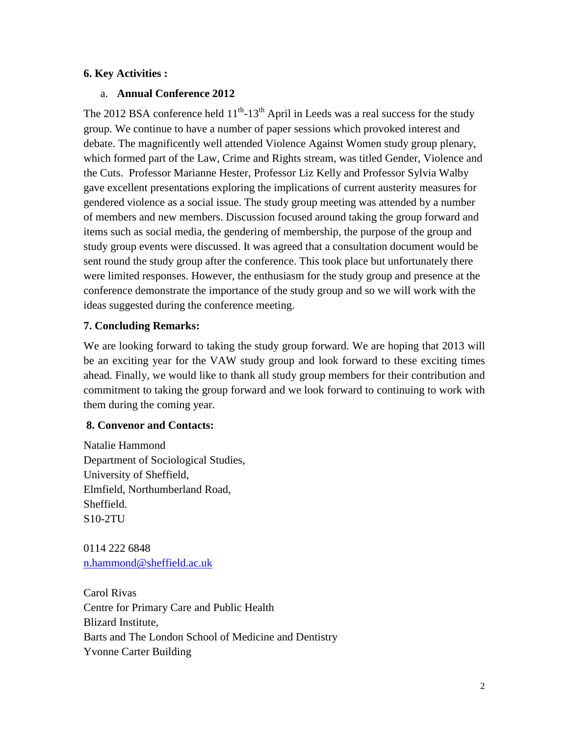## **6. Key Activities :**

#### a. **Annual Conference 2012**

The 2012 BSA conference held  $11<sup>th</sup>$ -13<sup>th</sup> April in Leeds was a real success for the study group. We continue to have a number of paper sessions which provoked interest and debate. The magnificently well attended Violence Against Women study group plenary, which formed part of the Law, Crime and Rights stream, was titled Gender, Violence and the Cuts. Professor Marianne Hester, Professor Liz Kelly and Professor Sylvia Walby gave excellent presentations exploring the implications of current austerity measures for gendered violence as a social issue. The study group meeting was attended by a number of members and new members. Discussion focused around taking the group forward and items such as social media, the gendering of membership, the purpose of the group and study group events were discussed. It was agreed that a consultation document would be sent round the study group after the conference. This took place but unfortunately there were limited responses. However, the enthusiasm for the study group and presence at the conference demonstrate the importance of the study group and so we will work with the ideas suggested during the conference meeting.

# **7. Concluding Remarks:**

We are looking forward to taking the study group forward. We are hoping that 2013 will be an exciting year for the VAW study group and look forward to these exciting times ahead. Finally, we would like to thank all study group members for their contribution and commitment to taking the group forward and we look forward to continuing to work with them during the coming year.

#### **8. Convenor and Contacts:**

Natalie Hammond Department of Sociological Studies, University of Sheffield, Elmfield, Northumberland Road, Sheffield. S10-2TU

0114 222 6848 [n.hammond@sheffield.ac.uk](mailto:n.hammond@sheffield.ac.uk)

Carol Rivas Centre for Primary Care and Public Health Blizard Institute, Barts and The London School of Medicine and Dentistry Yvonne Carter Building